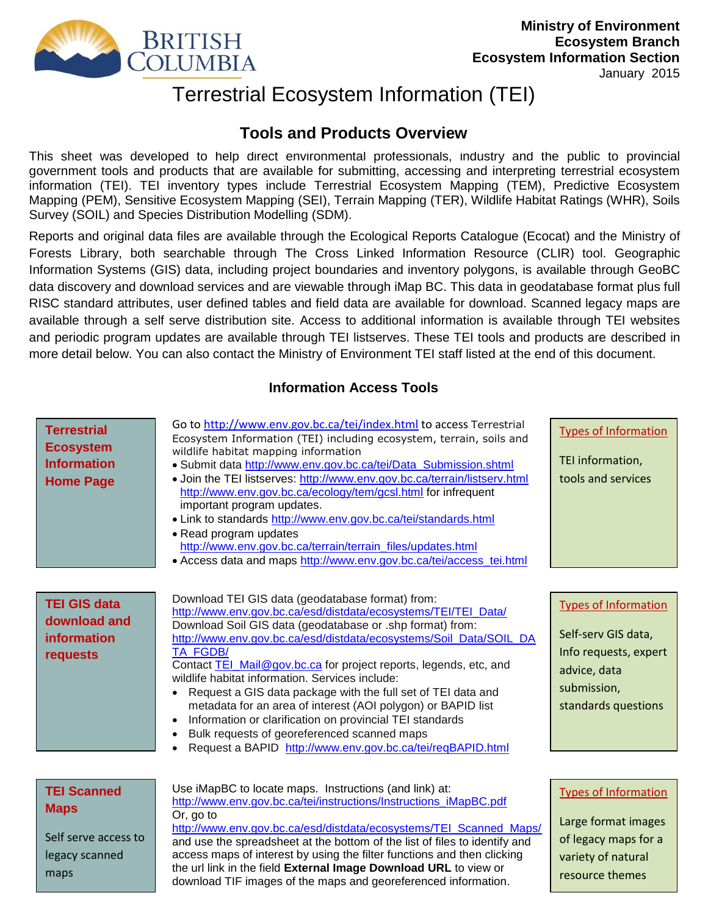

resource themes

# Terrestrial Ecosystem Information (TEI)

# **Tools and Products Overview**

This sheet was developed to help direct environmental professionals, industry and the public to provincial government tools and products that are available for submitting, accessing and interpreting terrestrial ecosystem information (TEI). TEI inventory types include Terrestrial Ecosystem Mapping (TEM), Predictive Ecosystem Mapping (PEM), Sensitive Ecosystem Mapping (SEI), Terrain Mapping (TER), Wildlife Habitat Ratings (WHR), Soils Survey (SOIL) and Species Distribution Modelling (SDM).

Reports and original data files are available through the Ecological Reports Catalogue (Ecocat) and the Ministry of Forests Library, both searchable through The Cross Linked Information Resource (CLIR) tool. Geographic Information Systems (GIS) data, including project boundaries and inventory polygons, is available through GeoBC data discovery and download services and are viewable through iMap BC. This data in geodatabase format plus full RISC standard attributes, user defined tables and field data are available for download. Scanned legacy maps are available through a self serve distribution site. Access to additional information is available through TEI websites and periodic program updates are available through TEI listserves. These TEI tools and products are described in more detail below. You can also contact the Ministry of Environment TEI staff listed at the end of this document.

## **Information Access Tools**

| <b>Terrestrial</b><br><b>Ecosystem</b><br><b>Information</b><br><b>Home Page</b> | Go to http://www.env.gov.bc.ca/tei/index.html to access Terrestrial<br>Ecosystem Information (TEI) including ecosystem, terrain, soils and<br>wildlife habitat mapping information<br>• Submit data http://www.env.gov.bc.ca/tei/Data Submission.shtml<br>• Join the TEI listserves: http://www.env.gov.bc.ca/terrain/listserv.html<br>http://www.env.gov.bc.ca/ecology/tem/gcsl.html for infrequent<br>important program updates.<br>• Link to standards http://www.env.gov.bc.ca/tei/standards.html<br>• Read program updates<br>http://www.env.gov.bc.ca/terrain/terrain_files/updates.html<br>• Access data and maps http://www.env.gov.bc.ca/tei/access_tei.html                                                        | <b>Types of Information</b><br>TEI information,<br>tools and services                                                             |
|----------------------------------------------------------------------------------|------------------------------------------------------------------------------------------------------------------------------------------------------------------------------------------------------------------------------------------------------------------------------------------------------------------------------------------------------------------------------------------------------------------------------------------------------------------------------------------------------------------------------------------------------------------------------------------------------------------------------------------------------------------------------------------------------------------------------|-----------------------------------------------------------------------------------------------------------------------------------|
| <b>TEI GIS data</b><br>download and<br><b>information</b><br>requests            | Download TEI GIS data (geodatabase format) from:<br>http://www.env.gov.bc.ca/esd/distdata/ecosystems/TEI/TEI Data/<br>Download Soil GIS data (geodatabase or .shp format) from:<br>http://www.env.gov.bc.ca/esd/distdata/ecosystems/Soil_Data/SOIL_DA<br>TA FGDB/<br>Contact TEI Mail@gov.bc.ca for project reports, legends, etc, and<br>wildlife habitat information. Services include:<br>Request a GIS data package with the full set of TEI data and<br>metadata for an area of interest (AOI polygon) or BAPID list<br>Information or clarification on provincial TEI standards<br>$\bullet$<br>Bulk requests of georeferenced scanned maps<br>Request a BAPID http://www.env.gov.bc.ca/tei/reqBAPID.html<br>$\bullet$ | <b>Types of Information</b><br>Self-serv GIS data,<br>Info requests, expert<br>advice, data<br>submission,<br>standards questions |
| <b>TEI Scanned</b><br><b>Maps</b><br>Self serve access to<br>legacy scanned      | Use iMapBC to locate maps. Instructions (and link) at:<br>http://www.env.gov.bc.ca/tei/instructions/Instructions_iMapBC.pdf<br>Or, go to<br>http://www.env.gov.bc.ca/esd/distdata/ecosystems/TEI Scanned Maps/<br>and use the spreadsheet at the bottom of the list of files to identify and<br>access maps of interest by using the filter functions and then clicking                                                                                                                                                                                                                                                                                                                                                      | <b>Types of Information</b><br>Large format images<br>of legacy maps for a<br>variety of natural                                  |

legacy scanned maps

access maps of interest by using the filter functions and then clicking the url link in the field **External Image Download URL** to view or download TIF images of the maps and georeferenced information.